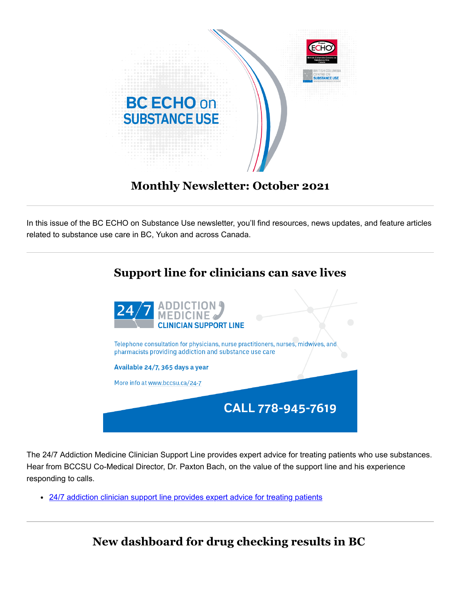

# **Monthly Newsletter: October 2021**

In this issue of the BC ECHO on Substance Use newsletter, you'll find resources, news updates, and feature articles related to substance use care in BC, Yukon and across Canada.



The 24/7 Addiction Medicine Clinician Support Line provides expert advice for treating patients who use substances. Hear from BCCSU Co-Medical Director, Dr. Paxton Bach, on the value of the support line and his experience responding to calls.

[24/7 addiction clinician support line provides expert advice for treating patients](https://cmtd1.com/c/443/983dfe1c3851c85c53c025f7a58080abfbcd273e61c8d97b8abc74e59e8d846823f1f694ea285081)

**New dashboard for drug checking results in BC**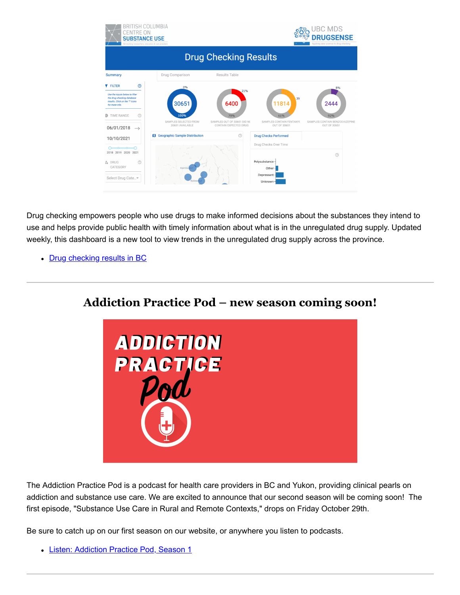

Drug checking empowers people who use drugs to make informed decisions about the substances they intend to use and helps provide public health with timely information about what is in the unregulated drug supply. Updated weekly, this dashboard is a new tool to view trends in the unregulated drug supply across the province.

• [Drug checking results in BC](https://cmtd1.com/c/443/983dfe1c3851c85c53c025f7a58080abfbcd273e61c8d97bc359d46982ca2fcc23f1f694ea285081)



The Addiction Practice Pod is a podcast for health care providers in BC and Yukon, providing clinical pearls on addiction and substance use care. We are excited to announce that our second season will be coming soon! The first episode, "Substance Use Care in Rural and Remote Contexts," drops on Friday October 29th.

Be sure to catch up on our first season on our website, or anywhere you listen to podcasts.

[Listen: Addiction Practice Pod, Season 1](https://cmtd1.com/c/443/983dfe1c3851c85c53c025f7a58080abfbcd273e61c8d97bede1ea3fbf8266cb23f1f694ea285081)

# **Addiction Practice Pod – new season coming soon!**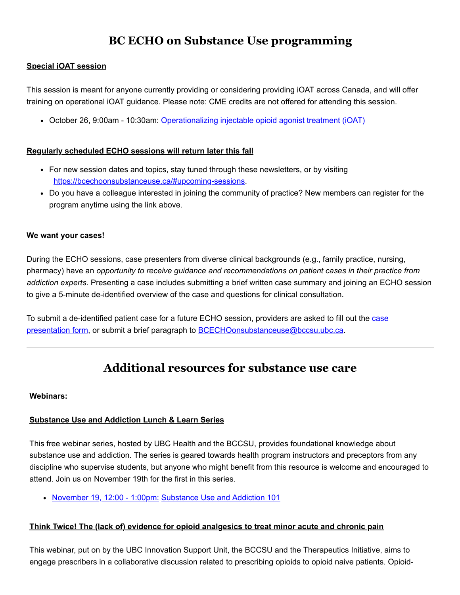# **BC ECHO on Substance Use programming**

## **Special iOAT session**

This session is meant for anyone currently providing or considering providing iOAT across Canada, and will offer training on operational iOAT guidance. Please note: CME credits are not offered for attending this session.

October 26, 9:00am - 10:30am: [Operationalizing injectable opioid agonist treatment \(iOAT\)](https://cmtd1.com/c/443/983dfe1c3851c85c53c025f7a58080abfbcd273e61c8d97b4b7a979871a054d423f1f694ea285081)

### **Regularly scheduled ECHO sessions will return later this fall**

- For new session dates and topics, stay tuned through these newsletters, or by visiting [https://bcechoonsubstanceuse.ca/#upcoming-sessions](https://cmtd1.com/c/443/983dfe1c3851c85c53c025f7a58080abfbcd273e61c8d97be09de747fe267cb823f1f694ea285081).
- Do you have a colleague interested in joining the community of practice? New members can register for the program anytime using the link above.

### **We want your cases!**

During the ECHO sessions, case presenters from diverse clinical backgrounds (e.g., family practice, nursing, pharmacy) have an *opportunity to receive guidance and recommendations on patient cases in their practice from addiction experts*. Presenting a case includes submitting a brief written case summary and joining an ECHO session to give a 5-minute de-identified overview of the case and questions for clinical consultation.

[To submit a de-identified patient case for a future ECHO session, providers are asked to fill out the case](https://cmtd1.com/c/443/983dfe1c3851c85c53c025f7a58080abfbcd273e61c8d97bbaca36d0df338a2e23f1f694ea285081) presentation form, or submit a brief paragraph to [BCECHOonsubstanceuse@bccsu.ubc.ca](mailto:BCECHOonsubstanceuse@bccsu.ubc.ca).

## **Additional resources for substance use care**

#### **Webinars:**

### **Substance Use and Addiction Lunch & Learn Series**

This free webinar series, hosted by UBC Health and the BCCSU, provides foundational knowledge about substance use and addiction. The series is geared towards health program instructors and preceptors from any discipline who supervise students, but anyone who might benefit from this resource is welcome and encouraged to attend. Join us on November 19th for the first in this series.

[November 19, 12:00 - 1:00pm:](https://cmtd1.com/c/443/983dfe1c3851c85c53c025f7a58080abfbcd273e61c8d97b6a4aba2651a0c01123f1f694ea285081) [Substance Use and Addiction 101](https://cmtd1.com/c/443/983dfe1c3851c85c53c025f7a58080abfbcd273e61c8d97b6a4aba2651a0c01123f1f694ea285081)

### **Think Twice! The (lack of) evidence for opioid analgesics to treat minor acute and chronic pain**

This webinar, put on by the UBC Innovation Support Unit, the BCCSU and the Therapeutics Initiative, aims to engage prescribers in a collaborative discussion related to prescribing opioids to opioid naive patients. Opioid-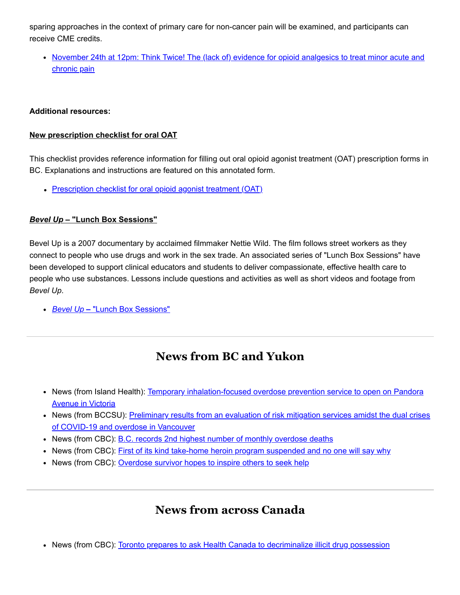sparing approaches in the context of primary care for non-cancer pain will be examined, and participants can receive CME credits.

• [November 24th at 12pm: Think Twice! The \(lack of\) evidence for opioid analgesics to treat minor acute and](https://cmtd1.com/c/443/983dfe1c3851c85c53c025f7a58080abfbcd273e61c8d97b647b55b034b6e63b23f1f694ea285081) chronic pain

### **Additional resources:**

#### **New prescription checklist for oral OAT**

This checklist provides reference information for filling out oral opioid agonist treatment (OAT) prescription forms in BC. Explanations and instructions are featured on this annotated form.

• [Prescription checklist for oral opioid agonist treatment \(OAT\)](https://cmtd1.com/c/443/983dfe1c3851c85c53c025f7a58080abfbcd273e61c8d97b452f7239853d5a4023f1f694ea285081)

#### *Bevel Up* **– "Lunch Box Sessions"**

Bevel Up is a 2007 documentary by acclaimed filmmaker Nettie Wild. The film follows street workers as they connect to people who use drugs and work in the sex trade. An associated series of "Lunch Box Sessions" have been developed to support clinical educators and students to deliver compassionate, effective health care to people who use substances. Lessons include questions and activities as well as short videos and footage from *Bevel Up*.

*Bevel Up* **–** ["Lunch Box Sessions"](https://cmtd1.com/c/443/983dfe1c3851c85c53c025f7a58080abfbcd273e61c8d97b3226f4719f3de39823f1f694ea285081)

# **News from BC and Yukon**

- [News \(from Island Health\): Temporary inhalation-focused overdose prevention service to open on Pandora](https://cmtd1.com/c/443/983dfe1c3851c85c53c025f7a58080abfbcd273e61c8d97b4f1c35da1f97f99a23f1f694ea285081) **Avenue in Victoria**
- [News \(from BCCSU\): Preliminary results from an evaluation of risk mitigation services amidst the dual crises](https://cmtd1.com/c/443/983dfe1c3851c85c53c025f7a58080abfbcd273e61c8d97bf80f7a420aeab67d23f1f694ea285081) of COVID-19 and overdose in Vancouver
- News (from CBC): [B.C. records 2nd highest number of monthly overdose deaths](https://cmtd1.com/c/443/983dfe1c3851c85c53c025f7a58080abfbcd273e61c8d97b2b61c025a81e8b3123f1f694ea285081)
- News (from CBC): [First of its kind take-home heroin program suspended and no one will say why](https://cmtd1.com/c/443/983dfe1c3851c85c53c025f7a58080abfbcd273e61c8d97b3f6f388424cfdbf123f1f694ea285081)
- News (from CBC): [Overdose survivor hopes to inspire others to seek help](https://cmtd1.com/c/443/983dfe1c3851c85c53c025f7a58080abfbcd273e61c8d97b4baa019b2d79866223f1f694ea285081)

## **News from across Canada**

• News (from CBC): [Toronto prepares to ask Health Canada to decriminalize illicit drug possession](https://cmtd1.com/c/443/983dfe1c3851c85c53c025f7a58080abfbcd273e61c8d97b2f09d87cd187794123f1f694ea285081)